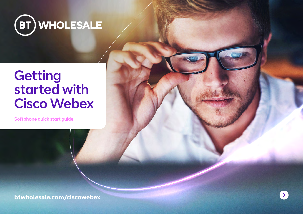

# **Getting** started with Cisco Webex

Softphone quick start guide

**[btwholesale.com/ciscowebex](https://www.btwholesale.com/ciscowebex)**

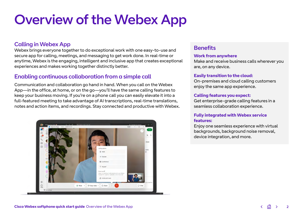# Overview of the Webex App

### Calling in Webex App

Webex brings everyone together to do exceptional work with one easy-to-use and secure app for calling, meetings, and messaging to get work done. In real-time or anytime, Webex is the engaging, intelligent and inclusive app that creates exceptional experiences and makes working together distinctly better.

### Enabling continuous collaboration from a simple call

Communication and collaboration go hand in hand. When you call on the Webex App—in the office, at home, or on the go—you'll have the same calling features to keep your business moving. If you're on a phone call you can easily elevate it into a full-featured meeting to take advantage of AI transcriptions, real-time translations, notes and action items, and recordings. Stay connected and productive with Webex.



### **Benefits**

#### **Work from anywhere**

Make and receive business calls wherever you are, on any device.

### **Easily transition to the cloud:**

On-premises and cloud calling customers enjoy the same app experience.

### **Calling features you expect:**

Get enterprise-grade calling features in a seamless collaboration experience.

### **Fully integrated with Webex service features:**

Enjoy one seamless experience with virtual backgrounds, background noise removal, device integration, and more.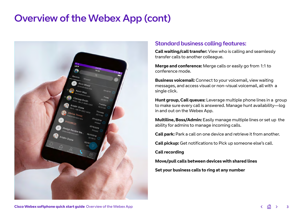# Overview of the Webex App (cont)



## Standard business calling features:

**Call waiting/call transfer:** View who is calling and seamlessly transfer calls to another colleague.

**Merge and conference:** Merge calls or easily go from 1:1 to conference mode.

**Business voicemail:** Connect to your voicemail, view waiting messages, and access visual or non-visual voicemail, all with a single click.

**Hunt group, Call queues:** Leverage multiple phone lines in a group to make sure every call is answered. Manage hunt availability—log in and out on the Webex App.

**Multiline, Boss/Admin:** Easily manage multiple lines or set up the ability for admins to manage incoming calls.

**Call park:** Park a call on one device and retrieve it from another.

**Call pickup:** Get notifications to Pick up someone else's call.

**Call recording**

**Move/pull calls between devices with shared lines**

**Set your business calls to ring at any number**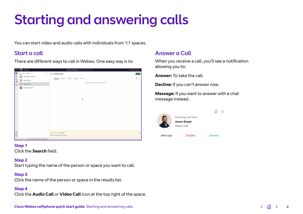# Starting and answering calls

You can start video and audio calls with individuals from 1:1 spaces.

# Start a call

There are different ways to call in Webex. One easy way is to:

| <b>COOK THE THEFT</b>                                                                                              | C Beach, root, and call<br>٠                                                   | C Conseil to a device. |
|--------------------------------------------------------------------------------------------------------------------|--------------------------------------------------------------------------------|------------------------|
| D<br>Direct Spaces<br>4.8<br>$\mathcal{C}\,\oplus\,\mathcal{D}$<br>Jason Kyle Canael (117)<br>Daryl NorTiset<br>DN | $_{\rm ns}$<br>* * Webex Calling<br>Messages Poople (2) Content Schedule Add + | <b>Mest</b><br>$Q = Q$ |
| $\qquad \qquad \textcircled{1}$<br>Weber Celling<br>W.                                                             | This starts the "Waber Ealing" space, 3:28 PM                                  |                        |
| <b>Completed</b> (115)                                                                                             | ٠                                                                              |                        |
| $\frac{1}{2}$ $\odot$ $\,$ $\otimes$<br>100 Coll Colorado - A. Bronz paralys disconnected. First for details.      | jerns a message to Webex Calling                                               | $\Delta$               |

### **Step 1**

Click the **Search** field.

### **Step 2**

Start typing the name of the person or space you want to call.

### **Step 3**

Click the name of the person or space in the results list.

### **Step 4**

Click the **Audio Call** or **Video Call** icon at the top right of the space.

# **Cisco Webex softphone quick start guide** Starting and answering calls

# Answer a Call

When you receive a call, you'll see a notification allowing you to:

**Answer:** To take the call.

**Decline:** If you can't answer now.

**Message:** If you want to answer with a chat message instead.